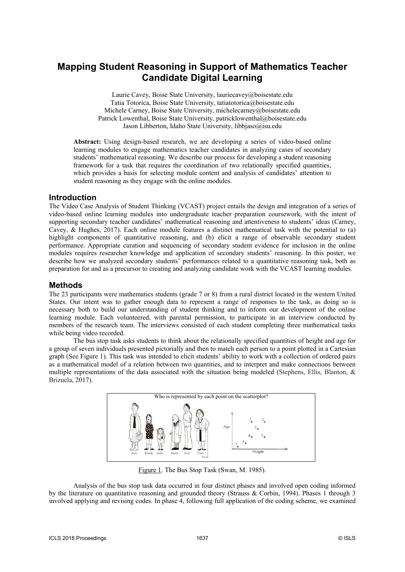# **Mapping Student Reasoning in Support of Mathematics Teacher Candidate Digital Learning**

Laurie Cavey, Boise State University, lauriecavey@boisestate.edu Tatia Totorica, Boise State University, tatiatotorica@boisestate.edu Michele Carney, Boise State University, michelecarney@boisestate.edu Patrick Lowenthal, Boise State University, patricklowenthal@boisestate.edu Jason Libberton, Idaho State University, libbjaso@isu.edu

**Abstract:** Using design-based research, we are developing a series of video-based online learning modules to engage mathematics teacher candidates in analyzing cases of secondary students' mathematical reasoning. We describe our process for developing a student reasoning framework for a task that requires the coordination of two relationally specified quantities, which provides a basis for selecting module content and analysis of candidates' attention to student reasoning as they engage with the online modules.

# **Introduction**

The Video Case Analysis of Student Thinking (VCAST) project entails the design and integration of a series of video-based online learning modules into undergraduate teacher preparation coursework, with the intent of supporting secondary teacher candidates' mathematical reasoning and attentiveness to students' ideas (Carney, Cavey, & Hughes, 2017). Each online module features a distinct mathematical task with the potential to (a) highlight components of quantitative reasoning, and (b) elicit a range of observable secondary student performance. Appropriate curation and sequencing of secondary student evidence for inclusion in the online modules requires researcher knowledge and application of secondary students' reasoning. In this poster, we describe how we analyzed secondary students' performances related to a quantitative reasoning task, both as preparation for and as a precursor to creating and analyzing candidate work with the VCAST learning modules.

# **Methods**

The 23 participants were mathematics students (grade 7 or 8) from a rural district located in the western United States. Our intent was to gather enough data to represent a range of responses to the task, as doing so is necessary both to build our understanding of student thinking and to inform our development of the online learning module. Each volunteered, with parental permission, to participate in an interview conducted by members of the research team. The interviews consisted of each student completing three mathematical tasks while being video recorded.

The bus stop task asks students to think about the relationally specified quantities of height and age for a group of seven individuals presented pictorially and then to match each person to a point plotted in a Cartesian graph (See Figure 1). This task was intended to elicit students' ability to work with a collection of ordered pairs as a mathematical model of a relation between two quantities, and to interpret and make connections between multiple representations of the data associated with the situation being modeled (Stephens, Ellis, Blanton, & Brizuela, 2017).



Figure 1. The Bus Stop Task (Swan, M. 1985).

Analysis of the bus stop task data occurred in four distinct phases and involved open coding informed by the literature on quantitative reasoning and grounded theory (Strauss & Corbin, 1994). Phases 1 through 3 involved applying and revising codes. In phase 4, following full application of the coding scheme, we examined